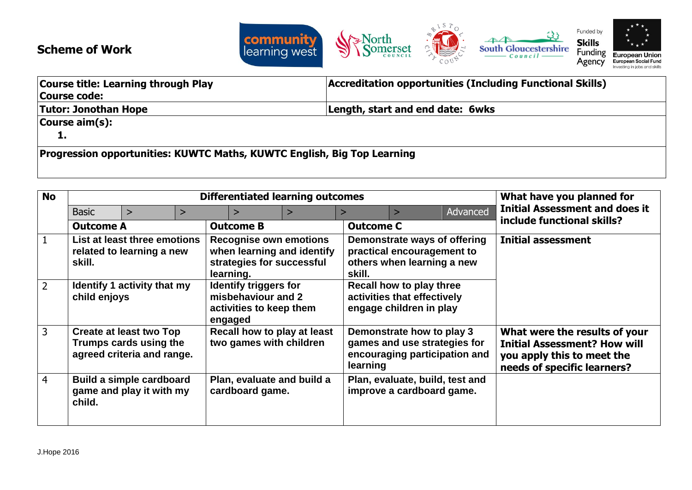

## **Scheme of Work**

| <b>Course title: Learning through Play</b>                              | Accreditation opportunities (Including Functional Skills) |  |
|-------------------------------------------------------------------------|-----------------------------------------------------------|--|
| Course code:                                                            |                                                           |  |
| <b>Tutor: Jonothan Hope</b>                                             | Length, start and end date: 6wks                          |  |
| $\vert$ Course aim $(s)$ :                                              |                                                           |  |
| -14                                                                     |                                                           |  |
| Progression opportunities: KUWTC Maths, KUWTC English, Big Top Learning |                                                           |  |

| <b>No</b>      | <b>Differentiated learning outcomes</b> |                                                                                        |   |                                                                                                       | What have you planned for |                  |                                                                                            |          |                                                                                                                                   |
|----------------|-----------------------------------------|----------------------------------------------------------------------------------------|---|-------------------------------------------------------------------------------------------------------|---------------------------|------------------|--------------------------------------------------------------------------------------------|----------|-----------------------------------------------------------------------------------------------------------------------------------|
|                | <b>Basic</b>                            | ↘                                                                                      | > | $\mathbf{r}$                                                                                          | $\geq$                    | $\geq$           |                                                                                            | Advanced | <b>Initial Assessment and does it</b>                                                                                             |
|                | <b>Outcome A</b>                        |                                                                                        |   | <b>Outcome B</b>                                                                                      |                           | <b>Outcome C</b> |                                                                                            |          | include functional skills?                                                                                                        |
|                | skill.                                  | List at least three emotions<br>related to learning a new                              |   | <b>Recognise own emotions</b><br>when learning and identify<br>strategies for successful<br>learning. |                           | skill.           | Demonstrate ways of offering<br>practical encouragement to<br>others when learning a new   |          | <b>Initial assessment</b>                                                                                                         |
| $\overline{2}$ | child enjoys                            | <b>Identify 1 activity that my</b>                                                     |   | <b>Identify triggers for</b><br>misbehaviour and 2<br>activities to keep them<br>engaged              |                           |                  | Recall how to play three<br>activities that effectively<br>engage children in play         |          |                                                                                                                                   |
| 3              |                                         | <b>Create at least two Top</b><br>Trumps cards using the<br>agreed criteria and range. |   | Recall how to play at least<br>two games with children                                                |                           | learning         | Demonstrate how to play 3<br>games and use strategies for<br>encouraging participation and |          | What were the results of your<br><b>Initial Assessment? How will</b><br>you apply this to meet the<br>needs of specific learners? |
| 4              | child.                                  | Build a simple cardboard<br>game and play it with my                                   |   | Plan, evaluate and build a<br>cardboard game.                                                         |                           |                  | Plan, evaluate, build, test and<br>improve a cardboard game.                               |          |                                                                                                                                   |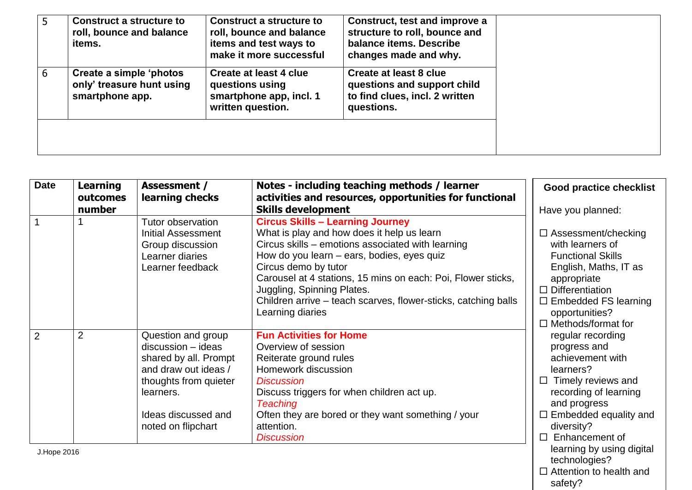| $\mathbf b$ | Construct a structure to<br>roll, bounce and balance<br>items.          | Construct a structure to<br>roll, bounce and balance<br>items and test ways to<br>make it more successful | Construct, test and improve a<br>structure to roll, bounce and<br>balance items. Describe<br>changes made and why. |  |
|-------------|-------------------------------------------------------------------------|-----------------------------------------------------------------------------------------------------------|--------------------------------------------------------------------------------------------------------------------|--|
| 6           | Create a simple 'photos<br>only' treasure hunt using<br>smartphone app. | Create at least 4 clue<br>questions using<br>smartphone app, incl. 1<br>written question.                 | Create at least 8 clue<br>questions and support child<br>to find clues, incl. 2 written<br>questions.              |  |
|             |                                                                         |                                                                                                           |                                                                                                                    |  |

| <b>Date</b><br><b>Learning</b><br>outcomes | <b>Assessment /</b><br>learning checks                                                                                                                                         | Notes - including teaching methods / learner<br>activities and resources, opportunities for functional                                                                                                                                                                                                                                                                                               | <b>Good practice checklist</b>                                                                                                                                                                                             |  |
|--------------------------------------------|--------------------------------------------------------------------------------------------------------------------------------------------------------------------------------|------------------------------------------------------------------------------------------------------------------------------------------------------------------------------------------------------------------------------------------------------------------------------------------------------------------------------------------------------------------------------------------------------|----------------------------------------------------------------------------------------------------------------------------------------------------------------------------------------------------------------------------|--|
| number                                     |                                                                                                                                                                                | <b>Skills development</b>                                                                                                                                                                                                                                                                                                                                                                            | Have you planned:                                                                                                                                                                                                          |  |
|                                            | Tutor observation<br><b>Initial Assessment</b><br>Group discussion<br>Learner diaries<br>Learner feedback                                                                      | <b>Circus Skills - Learning Journey</b><br>What is play and how does it help us learn<br>Circus skills – emotions associated with learning<br>How do you learn – ears, bodies, eyes quiz<br>Circus demo by tutor<br>Carousel at 4 stations, 15 mins on each: Poi, Flower sticks,<br>Juggling, Spinning Plates.<br>Children arrive – teach scarves, flower-sticks, catching balls<br>Learning diaries | $\Box$ Assessment/checking<br>with learners of<br><b>Functional Skills</b><br>English, Maths, IT as<br>appropriate<br>$\Box$ Differentiation<br>$\Box$ Embedded FS learning<br>opportunities?<br>$\Box$ Methods/format for |  |
| $\overline{2}$<br>$\overline{2}$           | Question and group<br>$discussion - ideas$<br>shared by all. Prompt<br>and draw out ideas /<br>thoughts from quieter<br>learners.<br>Ideas discussed and<br>noted on flipchart | <b>Fun Activities for Home</b><br>Overview of session<br>Reiterate ground rules<br>Homework discussion<br><b>Discussion</b><br>Discuss triggers for when children act up.<br><b>Teaching</b><br>Often they are bored or they want something / your<br>attention.<br><b>Discussion</b>                                                                                                                | regular recording<br>progress and<br>achievement with<br>learners?<br>Timely reviews and<br>$\Box$<br>recording of learning<br>and progress<br>$\Box$ Embedded equality and<br>diversity?<br>Enhancement of<br>П           |  |
| I Hone 2016                                |                                                                                                                                                                                |                                                                                                                                                                                                                                                                                                                                                                                                      | learning by using digital                                                                                                                                                                                                  |  |

J.Hope 2016

 $\square$  Attention to health and safety?

technologies?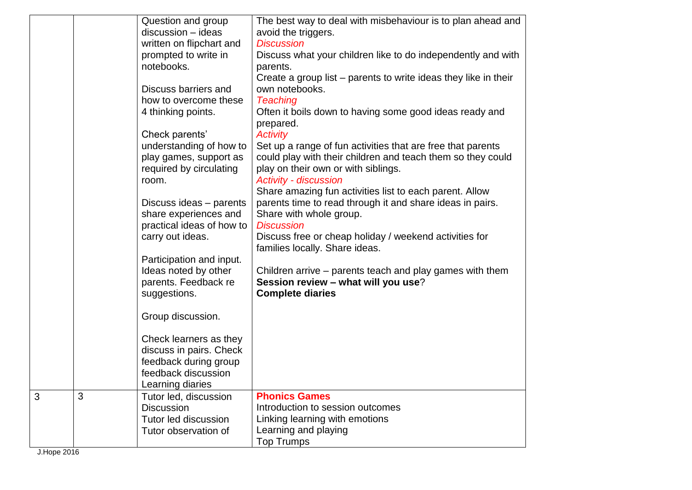| The best way to deal with misbehaviour is to plan ahead and<br>Question and group<br>discussion - ideas<br>avoid the triggers.<br>written on flipchart and<br><b>Discussion</b><br>prompted to write in<br>Discuss what your children like to do independently and with<br>notebooks.<br>parents.<br>Create a group list – parents to write ideas they like in their<br>Discuss barriers and<br>own notebooks.<br>how to overcome these<br><b>Teaching</b><br>Often it boils down to having some good ideas ready and<br>4 thinking points.<br>prepared.<br>Check parents'<br><b>Activity</b><br>understanding of how to<br>Set up a range of fun activities that are free that parents<br>could play with their children and teach them so they could<br>play games, support as<br>required by circulating<br>play on their own or with siblings.<br><b>Activity - discussion</b><br>room.<br>Share amazing fun activities list to each parent. Allow<br>Discuss ideas - parents<br>parents time to read through it and share ideas in pairs.<br>share experiences and<br>Share with whole group.<br><b>Discussion</b><br>practical ideas of how to<br>carry out ideas.<br>Discuss free or cheap holiday / weekend activities for<br>families locally. Share ideas.<br>Participation and input.<br>Ideas noted by other<br>Children arrive – parents teach and play games with them<br>parents. Feedback re<br>Session review - what will you use?<br>suggestions.<br><b>Complete diaries</b><br>Group discussion.<br>Check learners as they<br>discuss in pairs. Check<br>feedback during group<br>feedback discussion<br>Learning diaries<br>3<br><b>Phonics Games</b><br>Tutor led, discussion<br>Introduction to session outcomes<br><b>Discussion</b><br>Tutor led discussion<br>Linking learning with emotions<br>Learning and playing<br>Tutor observation of<br><b>Top Trumps</b> |   |  |  |
|--------------------------------------------------------------------------------------------------------------------------------------------------------------------------------------------------------------------------------------------------------------------------------------------------------------------------------------------------------------------------------------------------------------------------------------------------------------------------------------------------------------------------------------------------------------------------------------------------------------------------------------------------------------------------------------------------------------------------------------------------------------------------------------------------------------------------------------------------------------------------------------------------------------------------------------------------------------------------------------------------------------------------------------------------------------------------------------------------------------------------------------------------------------------------------------------------------------------------------------------------------------------------------------------------------------------------------------------------------------------------------------------------------------------------------------------------------------------------------------------------------------------------------------------------------------------------------------------------------------------------------------------------------------------------------------------------------------------------------------------------------------------------------------------------------------------------------------------------------------------------------------------|---|--|--|
|                                                                                                                                                                                                                                                                                                                                                                                                                                                                                                                                                                                                                                                                                                                                                                                                                                                                                                                                                                                                                                                                                                                                                                                                                                                                                                                                                                                                                                                                                                                                                                                                                                                                                                                                                                                                                                                                                            |   |  |  |
|                                                                                                                                                                                                                                                                                                                                                                                                                                                                                                                                                                                                                                                                                                                                                                                                                                                                                                                                                                                                                                                                                                                                                                                                                                                                                                                                                                                                                                                                                                                                                                                                                                                                                                                                                                                                                                                                                            |   |  |  |
|                                                                                                                                                                                                                                                                                                                                                                                                                                                                                                                                                                                                                                                                                                                                                                                                                                                                                                                                                                                                                                                                                                                                                                                                                                                                                                                                                                                                                                                                                                                                                                                                                                                                                                                                                                                                                                                                                            |   |  |  |
|                                                                                                                                                                                                                                                                                                                                                                                                                                                                                                                                                                                                                                                                                                                                                                                                                                                                                                                                                                                                                                                                                                                                                                                                                                                                                                                                                                                                                                                                                                                                                                                                                                                                                                                                                                                                                                                                                            |   |  |  |
|                                                                                                                                                                                                                                                                                                                                                                                                                                                                                                                                                                                                                                                                                                                                                                                                                                                                                                                                                                                                                                                                                                                                                                                                                                                                                                                                                                                                                                                                                                                                                                                                                                                                                                                                                                                                                                                                                            |   |  |  |
|                                                                                                                                                                                                                                                                                                                                                                                                                                                                                                                                                                                                                                                                                                                                                                                                                                                                                                                                                                                                                                                                                                                                                                                                                                                                                                                                                                                                                                                                                                                                                                                                                                                                                                                                                                                                                                                                                            |   |  |  |
|                                                                                                                                                                                                                                                                                                                                                                                                                                                                                                                                                                                                                                                                                                                                                                                                                                                                                                                                                                                                                                                                                                                                                                                                                                                                                                                                                                                                                                                                                                                                                                                                                                                                                                                                                                                                                                                                                            |   |  |  |
|                                                                                                                                                                                                                                                                                                                                                                                                                                                                                                                                                                                                                                                                                                                                                                                                                                                                                                                                                                                                                                                                                                                                                                                                                                                                                                                                                                                                                                                                                                                                                                                                                                                                                                                                                                                                                                                                                            |   |  |  |
|                                                                                                                                                                                                                                                                                                                                                                                                                                                                                                                                                                                                                                                                                                                                                                                                                                                                                                                                                                                                                                                                                                                                                                                                                                                                                                                                                                                                                                                                                                                                                                                                                                                                                                                                                                                                                                                                                            |   |  |  |
|                                                                                                                                                                                                                                                                                                                                                                                                                                                                                                                                                                                                                                                                                                                                                                                                                                                                                                                                                                                                                                                                                                                                                                                                                                                                                                                                                                                                                                                                                                                                                                                                                                                                                                                                                                                                                                                                                            |   |  |  |
|                                                                                                                                                                                                                                                                                                                                                                                                                                                                                                                                                                                                                                                                                                                                                                                                                                                                                                                                                                                                                                                                                                                                                                                                                                                                                                                                                                                                                                                                                                                                                                                                                                                                                                                                                                                                                                                                                            |   |  |  |
|                                                                                                                                                                                                                                                                                                                                                                                                                                                                                                                                                                                                                                                                                                                                                                                                                                                                                                                                                                                                                                                                                                                                                                                                                                                                                                                                                                                                                                                                                                                                                                                                                                                                                                                                                                                                                                                                                            |   |  |  |
|                                                                                                                                                                                                                                                                                                                                                                                                                                                                                                                                                                                                                                                                                                                                                                                                                                                                                                                                                                                                                                                                                                                                                                                                                                                                                                                                                                                                                                                                                                                                                                                                                                                                                                                                                                                                                                                                                            |   |  |  |
|                                                                                                                                                                                                                                                                                                                                                                                                                                                                                                                                                                                                                                                                                                                                                                                                                                                                                                                                                                                                                                                                                                                                                                                                                                                                                                                                                                                                                                                                                                                                                                                                                                                                                                                                                                                                                                                                                            |   |  |  |
|                                                                                                                                                                                                                                                                                                                                                                                                                                                                                                                                                                                                                                                                                                                                                                                                                                                                                                                                                                                                                                                                                                                                                                                                                                                                                                                                                                                                                                                                                                                                                                                                                                                                                                                                                                                                                                                                                            |   |  |  |
|                                                                                                                                                                                                                                                                                                                                                                                                                                                                                                                                                                                                                                                                                                                                                                                                                                                                                                                                                                                                                                                                                                                                                                                                                                                                                                                                                                                                                                                                                                                                                                                                                                                                                                                                                                                                                                                                                            |   |  |  |
|                                                                                                                                                                                                                                                                                                                                                                                                                                                                                                                                                                                                                                                                                                                                                                                                                                                                                                                                                                                                                                                                                                                                                                                                                                                                                                                                                                                                                                                                                                                                                                                                                                                                                                                                                                                                                                                                                            |   |  |  |
|                                                                                                                                                                                                                                                                                                                                                                                                                                                                                                                                                                                                                                                                                                                                                                                                                                                                                                                                                                                                                                                                                                                                                                                                                                                                                                                                                                                                                                                                                                                                                                                                                                                                                                                                                                                                                                                                                            |   |  |  |
|                                                                                                                                                                                                                                                                                                                                                                                                                                                                                                                                                                                                                                                                                                                                                                                                                                                                                                                                                                                                                                                                                                                                                                                                                                                                                                                                                                                                                                                                                                                                                                                                                                                                                                                                                                                                                                                                                            |   |  |  |
|                                                                                                                                                                                                                                                                                                                                                                                                                                                                                                                                                                                                                                                                                                                                                                                                                                                                                                                                                                                                                                                                                                                                                                                                                                                                                                                                                                                                                                                                                                                                                                                                                                                                                                                                                                                                                                                                                            |   |  |  |
|                                                                                                                                                                                                                                                                                                                                                                                                                                                                                                                                                                                                                                                                                                                                                                                                                                                                                                                                                                                                                                                                                                                                                                                                                                                                                                                                                                                                                                                                                                                                                                                                                                                                                                                                                                                                                                                                                            |   |  |  |
|                                                                                                                                                                                                                                                                                                                                                                                                                                                                                                                                                                                                                                                                                                                                                                                                                                                                                                                                                                                                                                                                                                                                                                                                                                                                                                                                                                                                                                                                                                                                                                                                                                                                                                                                                                                                                                                                                            |   |  |  |
|                                                                                                                                                                                                                                                                                                                                                                                                                                                                                                                                                                                                                                                                                                                                                                                                                                                                                                                                                                                                                                                                                                                                                                                                                                                                                                                                                                                                                                                                                                                                                                                                                                                                                                                                                                                                                                                                                            |   |  |  |
|                                                                                                                                                                                                                                                                                                                                                                                                                                                                                                                                                                                                                                                                                                                                                                                                                                                                                                                                                                                                                                                                                                                                                                                                                                                                                                                                                                                                                                                                                                                                                                                                                                                                                                                                                                                                                                                                                            |   |  |  |
|                                                                                                                                                                                                                                                                                                                                                                                                                                                                                                                                                                                                                                                                                                                                                                                                                                                                                                                                                                                                                                                                                                                                                                                                                                                                                                                                                                                                                                                                                                                                                                                                                                                                                                                                                                                                                                                                                            |   |  |  |
|                                                                                                                                                                                                                                                                                                                                                                                                                                                                                                                                                                                                                                                                                                                                                                                                                                                                                                                                                                                                                                                                                                                                                                                                                                                                                                                                                                                                                                                                                                                                                                                                                                                                                                                                                                                                                                                                                            |   |  |  |
|                                                                                                                                                                                                                                                                                                                                                                                                                                                                                                                                                                                                                                                                                                                                                                                                                                                                                                                                                                                                                                                                                                                                                                                                                                                                                                                                                                                                                                                                                                                                                                                                                                                                                                                                                                                                                                                                                            |   |  |  |
|                                                                                                                                                                                                                                                                                                                                                                                                                                                                                                                                                                                                                                                                                                                                                                                                                                                                                                                                                                                                                                                                                                                                                                                                                                                                                                                                                                                                                                                                                                                                                                                                                                                                                                                                                                                                                                                                                            |   |  |  |
|                                                                                                                                                                                                                                                                                                                                                                                                                                                                                                                                                                                                                                                                                                                                                                                                                                                                                                                                                                                                                                                                                                                                                                                                                                                                                                                                                                                                                                                                                                                                                                                                                                                                                                                                                                                                                                                                                            |   |  |  |
|                                                                                                                                                                                                                                                                                                                                                                                                                                                                                                                                                                                                                                                                                                                                                                                                                                                                                                                                                                                                                                                                                                                                                                                                                                                                                                                                                                                                                                                                                                                                                                                                                                                                                                                                                                                                                                                                                            |   |  |  |
|                                                                                                                                                                                                                                                                                                                                                                                                                                                                                                                                                                                                                                                                                                                                                                                                                                                                                                                                                                                                                                                                                                                                                                                                                                                                                                                                                                                                                                                                                                                                                                                                                                                                                                                                                                                                                                                                                            |   |  |  |
|                                                                                                                                                                                                                                                                                                                                                                                                                                                                                                                                                                                                                                                                                                                                                                                                                                                                                                                                                                                                                                                                                                                                                                                                                                                                                                                                                                                                                                                                                                                                                                                                                                                                                                                                                                                                                                                                                            |   |  |  |
|                                                                                                                                                                                                                                                                                                                                                                                                                                                                                                                                                                                                                                                                                                                                                                                                                                                                                                                                                                                                                                                                                                                                                                                                                                                                                                                                                                                                                                                                                                                                                                                                                                                                                                                                                                                                                                                                                            |   |  |  |
|                                                                                                                                                                                                                                                                                                                                                                                                                                                                                                                                                                                                                                                                                                                                                                                                                                                                                                                                                                                                                                                                                                                                                                                                                                                                                                                                                                                                                                                                                                                                                                                                                                                                                                                                                                                                                                                                                            | 3 |  |  |
|                                                                                                                                                                                                                                                                                                                                                                                                                                                                                                                                                                                                                                                                                                                                                                                                                                                                                                                                                                                                                                                                                                                                                                                                                                                                                                                                                                                                                                                                                                                                                                                                                                                                                                                                                                                                                                                                                            |   |  |  |
|                                                                                                                                                                                                                                                                                                                                                                                                                                                                                                                                                                                                                                                                                                                                                                                                                                                                                                                                                                                                                                                                                                                                                                                                                                                                                                                                                                                                                                                                                                                                                                                                                                                                                                                                                                                                                                                                                            |   |  |  |
|                                                                                                                                                                                                                                                                                                                                                                                                                                                                                                                                                                                                                                                                                                                                                                                                                                                                                                                                                                                                                                                                                                                                                                                                                                                                                                                                                                                                                                                                                                                                                                                                                                                                                                                                                                                                                                                                                            |   |  |  |
|                                                                                                                                                                                                                                                                                                                                                                                                                                                                                                                                                                                                                                                                                                                                                                                                                                                                                                                                                                                                                                                                                                                                                                                                                                                                                                                                                                                                                                                                                                                                                                                                                                                                                                                                                                                                                                                                                            |   |  |  |

J.Hope 2016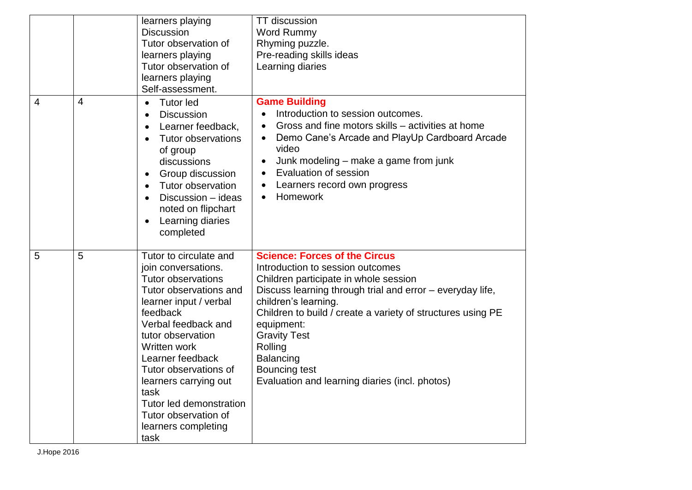|                |                | learners playing<br><b>Discussion</b><br>Tutor observation of<br>learners playing<br>Tutor observation of<br>learners playing<br>Self-assessment.                                                                                                                                                                                                                      | <b>TT</b> discussion<br><b>Word Rummy</b><br>Rhyming puzzle.<br>Pre-reading skills ideas<br>Learning diaries                                                                                                                                                                                                                                                                                                 |
|----------------|----------------|------------------------------------------------------------------------------------------------------------------------------------------------------------------------------------------------------------------------------------------------------------------------------------------------------------------------------------------------------------------------|--------------------------------------------------------------------------------------------------------------------------------------------------------------------------------------------------------------------------------------------------------------------------------------------------------------------------------------------------------------------------------------------------------------|
| $\overline{4}$ | $\overline{4}$ | <b>Tutor led</b><br>$\bullet$<br><b>Discussion</b><br>$\bullet$<br>Learner feedback,<br>$\bullet$<br><b>Tutor observations</b><br>$\bullet$<br>of group<br>discussions<br>Group discussion<br>$\bullet$<br>Tutor observation<br>$\bullet$<br>Discussion - ideas<br>$\bullet$<br>noted on flipchart<br>Learning diaries<br>$\bullet$<br>completed                       | <b>Game Building</b><br>Introduction to session outcomes.<br>Gross and fine motors skills – activities at home<br>Demo Cane's Arcade and PlayUp Cardboard Arcade<br>$\bullet$<br>video<br>Junk modeling – make a game from junk<br>$\bullet$<br>Evaluation of session<br>$\bullet$<br>Learners record own progress<br>$\bullet$<br>Homework<br>$\bullet$                                                     |
| 5              | 5              | Tutor to circulate and<br>join conversations.<br><b>Tutor observations</b><br>Tutor observations and<br>learner input / verbal<br>feedback<br>Verbal feedback and<br>tutor observation<br>Written work<br>Learner feedback<br>Tutor observations of<br>learners carrying out<br>task<br>Tutor led demonstration<br>Tutor observation of<br>learners completing<br>task | <b>Science: Forces of the Circus</b><br>Introduction to session outcomes<br>Children participate in whole session<br>Discuss learning through trial and error – everyday life,<br>children's learning.<br>Children to build / create a variety of structures using PE<br>equipment:<br><b>Gravity Test</b><br>Rolling<br><b>Balancing</b><br>Bouncing test<br>Evaluation and learning diaries (incl. photos) |